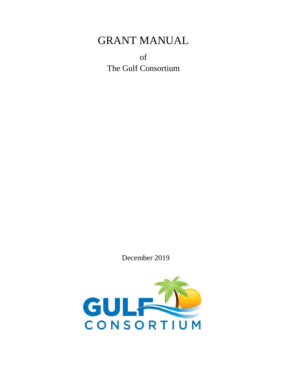# GRANT MANUAL

of The Gulf Consortium

December 2019

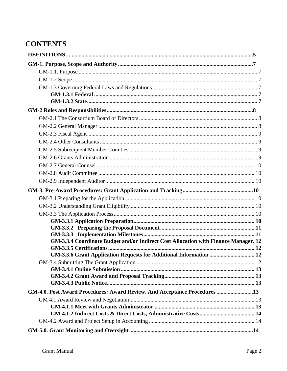## **CONTENTS**

| GM-3.3.4 Coordinate Budget and/or Indirect Cost Allocation with Finance Manager. 12 |  |
|-------------------------------------------------------------------------------------|--|
| GM-3.3.6 Grant Application Requests for Additional Information  12                  |  |
|                                                                                     |  |
|                                                                                     |  |
|                                                                                     |  |
|                                                                                     |  |
| GM-4.0. Post Award Procedures: Award Review, And Acceptance Procedures13            |  |
|                                                                                     |  |
|                                                                                     |  |
|                                                                                     |  |
|                                                                                     |  |
|                                                                                     |  |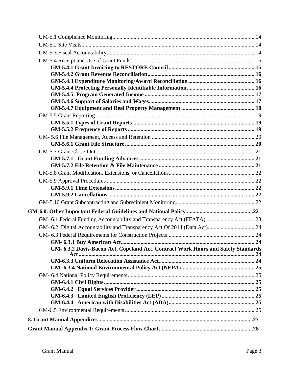| GM- 6.3.2 Davis-Bacon Act, Copeland Act, Contract Work Hours and Safety Standards |  |
|-----------------------------------------------------------------------------------|--|
|                                                                                   |  |
|                                                                                   |  |
|                                                                                   |  |
|                                                                                   |  |
|                                                                                   |  |
|                                                                                   |  |
|                                                                                   |  |
|                                                                                   |  |
|                                                                                   |  |
|                                                                                   |  |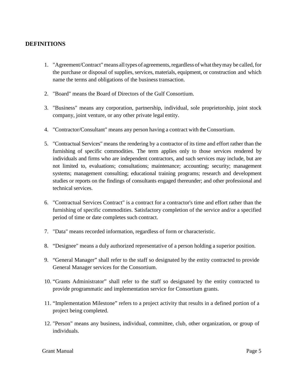## <span id="page-4-0"></span>**DEFINITIONS**

- 1. "Agreement/Contract" means all types of agreements, regardless of what they may be called, for the purchase or disposal of supplies, services, materials, equipment, or construction and which name the terms and obligations of the businesstransaction.
- 2. "Board" means the Board of Directors of the Gulf Consortium.
- 3. "Business" means any corporation, partnership, individual, sole proprietorship, joint stock company, joint venture, or any other private legal entity.
- 4. "Contractor/Consultant" means any person having a contract with the Consortium.
- 5. "Contractual Services" means the rendering by a contractor of its time and effort rather than the furnishing of specific commodities. The term applies only to those services rendered by individuals and firms who are independent contractors, and such services may include, but are not limited to, evaluations; consultations; maintenance; accounting; security; management systems; management consulting; educational training programs; research and development studies or reports on the findings of consultants engaged thereunder; and other professional and technical services.
- 6. "Contractual Services Contract" is a contract for a contractor's time and effort rather than the furnishing of specific commodities. Satisfactory completion of the service and/or a specified period of time or date completes such contract.
- 7. "Data" means recorded information, regardless of form or characteristic.
- 8. "Designee" means a duly authorized representative of a person holding a superior position.
- 9. "General Manager" shall refer to the staff so designated by the entity contracted to provide General Manager services for the Consortium.
- 10. "Grants Administrator" shall refer to the staff so designated by the entity contracted to provide programmatic and implementation service for Consortium grants.
- 11. "Implementation Milestone" refers to a project activity that results in a defined portion of a project being completed.
- 12. "Person" means any business, individual, committee, club, other organization, or group of individuals.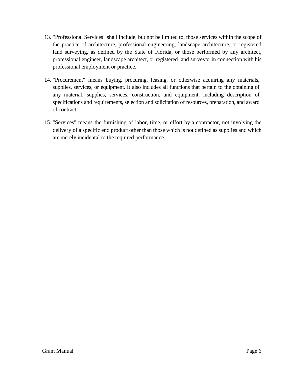- 13. "Professional Services" shall include, but not be limited to, those services within the scope of the practice of architecture, professional engineering, landscape architecture, or registered land surveying, as defined by the State of Florida, or those performed by any architect, professional engineer, landscape architect, or registered land surveyor in connection with his professional employment or practice.
- 14. "Procurement" means buying, procuring, leasing, or otherwise acquiring any materials, supplies, services, or equipment. It also includes all functions that pertain to the obtaining of any material, supplies, services, construction, and equipment, including description of specifications and requirements, selection and solicitation of resources, preparation, and award of contract.
- 15. "Services" means the furnishing of labor, time, or effort by a contractor, not involving the delivery of a specific end product other than those which is not defined as supplies and which are merely incidental to the required performance.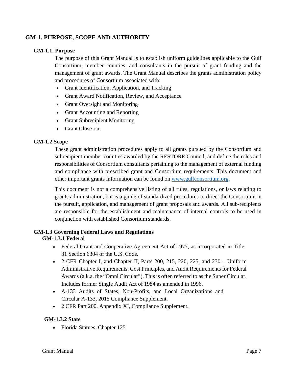## <span id="page-6-0"></span>**GM-1. PURPOSE, SCOPE AND AUTHORITY**

## <span id="page-6-1"></span>**GM-1.1. Purpose**

The purpose of this Grant Manual is to establish uniform guidelines applicable to the Gulf Consortium, member counties, and consultants in the pursuit of grant funding and the management of grant awards. The Grant Manual describes the grants administration policy and procedures of Consortium associated with:

- Grant Identification, Application, and Tracking
- Grant Award Notification, Review, and Acceptance
- Grant Oversight and Monitoring
- Grant Accounting and Reporting
- Grant Subrecipient Monitoring
- Grant Close-out

#### <span id="page-6-2"></span>**GM-1.2 Scope**

These grant administration procedures apply to all grants pursued by the Consortium and subrecipient member counties awarded by the RESTORE Council, and define the roles and responsibilities of Consortium consultants pertaining to the management of external funding and compliance with prescribed grant and Consortium requirements. This document and other important grants information can be found on [www.gulfconsortium.org.](http://www.gulfconsortium.org/)

This document is not a comprehensive listing of all rules, regulations, or laws relating to grants administration, but is a guide of standardized procedures to direct the Consortium in the pursuit, application, and management of grant proposals and awards. All sub-recipients are responsible for the establishment and maintenance of internal controls to be used in conjunction with established Consortium standards.

#### <span id="page-6-4"></span><span id="page-6-3"></span>**GM-1.3 Governing Federal Laws and Regulations GM-1.3.1 Federal**

- Federal Grant and Cooperative Agreement Act of 1977, as incorporated in Title 31 Section 6304 of the U.S. Code.
- 2 CFR Chapter I, and Chapter II, Parts 200, 215, 220, 225, and 230 Uniform Administrative Requirements, Cost Principles, and Audit Requirements for Federal Awards (a.k.a. the "Omni Circular"). This is often referred to as the Super Circular. Includes former Single Audit Act of 1984 as amended in 1996.
- A-133 Audits of States, Non-Profits, and Local Organizations and Circular A-133, 2015 Compliance Supplement.
- 2 CFR Part 200, Appendix XI, Compliance Supplement.

## <span id="page-6-5"></span>**GM-1.3.2 State**

• Florida Statues, Chapter 125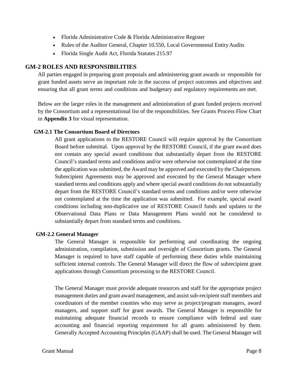- Florida Administrative Code & Florida Administrative Register
- Rules of the Auditor General, Chapter 10.550, Local Governmental Entity Audits
- Florida Single Audit Act, Florida Statutes 215.97

## <span id="page-7-0"></span>**GM-2 ROLES AND RESPONSIBILITIES**

All parties engaged in preparing grant proposals and administering grant awards or responsible for grant funded assets serve an important role in the success of project outcomes and objectives and ensuring that all grant terms and conditions and budgetary and regulatory requirements are met.

Below are the larger roles in the management and administration of grant funded projects received by the Consortium and a representational list of the responsibilities. See Grants Process Flow Chart in **Appendix 3** for visual representation.

## <span id="page-7-1"></span>**GM-2.1 The Consortium Board of Directors**

All grant applications to the RESTORE Council will require approval by the Consortium Board before submittal. Upon approval by the RESTORE Council, if the grant award does not contain any special award conditions that substantially depart from the RESTORE Council's standard terms and conditions and/or were otherwise not contemplated at the time the application was submitted, the Award may be approved and executed by the Chairperson. Subrecipient Agreements may be approved and executed by the General Manager where standard terms and conditions apply and where special award conditions do not substantially depart from the RESTORE Council's standard terms and conditions and/or were otherwise not contemplated at the time the application was submitted. For example, special award conditions including non-duplicative use of RESTORE Council funds and updates to the Observational Data Plans or Data Management Plans would not be considered to substantially depart from standard terms and conditions.

## <span id="page-7-2"></span>**GM-2.2 General Manager**

The General Manager is responsible for performing and coordinating the ongoing administration, compilation, submission and oversight of Consortium grants. The General Manager is required to have staff capable of performing these duties while maintaining sufficient internal controls. The General Manager will direct the flow of subrecipient grant applications through Consortium processing to the RESTORE Council.

The General Manager must provide adequate resources and staff for the appropriate project management duties and grant award management, and assist sub-recipient staff members and coordinators of the member counties who may serve as project/program managers, award managers, and support staff for grant awards. The General Manager is responsible for maintaining adequate financial records to ensure compliance with federal and state accounting and financial reporting requirement for all grants administered by them. Generally Accepted Accounting Principles (GAAP) shall be used. The General Manager will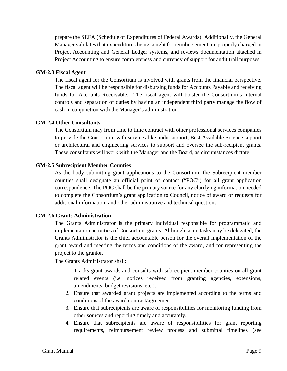prepare the SEFA (Schedule of Expenditures of Federal Awards). Additionally, the General Manager validates that expenditures being sought for reimbursement are properly charged in Project Accounting and General Ledger systems, and reviews documentation attached in Project Accounting to ensure completeness and currency of support for audit trail purposes.

#### <span id="page-8-0"></span>**GM-2.3 Fiscal Agent**

The fiscal agent for the Consortium is involved with grants from the financial perspective. The fiscal agent will be responsible for disbursing funds for Accounts Payable and receiving funds for Accounts Receivable. The fiscal agent will bolster the Consortium's internal controls and separation of duties by having an independent third party manage the flow of cash in conjunction with the Manager's administration.

#### <span id="page-8-1"></span>**GM-2.4 Other Consultants**

The Consortium may from time to time contract with other professional services companies to provide the Consortium with services like audit support, Best Available Science support or architectural and engineering services to support and oversee the sub-recipient grants. These consultants will work with the Manager and the Board, as circumstances dictate.

#### <span id="page-8-2"></span>**GM-2.5 Subrecipient Member Counties**

As the body submitting grant applications to the Consortium, the Subrecipient member counties shall designate an official point of contact ("POC") for all grant application correspondence. The POC shall be the primary source for any clarifying information needed to complete the Consortium's grant application to Council, notice of award or requests for additional information, and other administrative and technical questions.

#### <span id="page-8-3"></span>**GM-2.6 Grants Administration**

The Grants Administrator is the primary individual responsible for programmatic and implementation activities of Consortium grants. Although some tasks may be delegated, the Grants Administrator is the chief accountable person for the overall implementation of the grant award and meeting the terms and conditions of the award, and for representing the project to the grantor.

The Grants Administrator shall:

- 1. Tracks grant awards and consults with subrecipient member counties on all grant related events (i.e. notices received from granting agencies, extensions, amendments, budget revisions, etc.).
- 2. Ensure that awarded grant projects are implemented according to the terms and conditions of the award contract/agreement.
- 3. Ensure that subrecipients are aware of responsibilities for monitoring funding from other sources and reporting timely and accurately.
- 4. Ensure that subrecipients are aware of responsibilities for grant reporting requirements, reimbursement review process and submittal timelines (see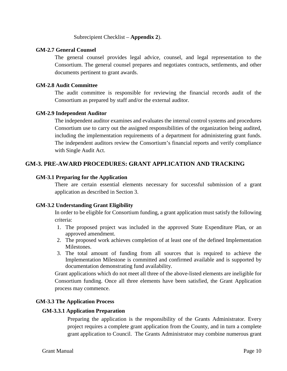Subrecipient Checklist – **Appendix 2**).

#### <span id="page-9-0"></span>**GM-2.7 General Counsel**

The general counsel provides legal advice, counsel, and legal representation to the Consortium. The general counsel prepares and negotiates contracts, settlements, and other documents pertinent to grant awards.

#### <span id="page-9-1"></span>**GM-2.8 Audit Committee**

The audit committee is responsible for reviewing the financial records audit of the Consortium as prepared by staff and/or the external auditor.

#### <span id="page-9-2"></span>**GM-2.9 Independent Auditor**

The independent auditor examines and evaluates the internal control systems and procedures Consortium use to carry out the assigned responsibilities of the organization being audited, including the implementation requirements of a department for administering grant funds. The independent auditors review the Consortium's financial reports and verify compliance with Single Audit Act.

## <span id="page-9-3"></span>**GM-3. PRE-AWARD PROCEDURES: GRANT APPLICATION AND TRACKING**

#### <span id="page-9-4"></span>**GM-3.1 Preparing for the Application**

There are certain essential elements necessary for successful submission of a grant application as described in Section 3.

## <span id="page-9-5"></span>**GM-3.2 Understanding Grant Eligibility**

In order to be eligible for Consortium funding, a grant application must satisfy the following criteria:

- 1. The proposed project was included in the approved State Expenditure Plan, or an approved amendment.
- 2. The proposed work achieves completion of at least one of the defined Implementation Milestones.
- 3. The total amount of funding from all sources that is required to achieve the Implementation Milestone is committed and confirmed available and is supported by documentation demonstrating fund availability.

Grant applications which do not meet all three of the above-listed elements are ineligible for Consortium funding. Once all three elements have been satisfied, the Grant Application process may commence.

#### <span id="page-9-7"></span><span id="page-9-6"></span>**GM-3.3 The Application Process**

## **GM-3.3.1 Application Preparation**

Preparing the application is the responsibility of the Grants Administrator. Every project requires a complete grant application from the County, and in turn a complete grant application to Council. The Grants Administrator may combine numerous grant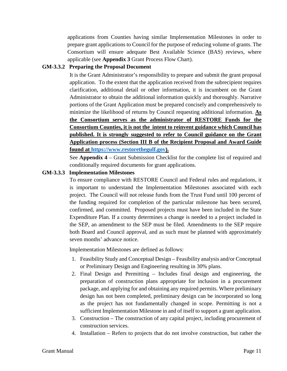applications from Counties having similar Implementation Milestones in order to prepare grant applications to Council for the purpose of reducing volume of grants. The Consortium will ensure adequate Best Available Science (BAS) reviews, where applicable (see **Appendix 3** Grant Process Flow Chart).

## <span id="page-10-0"></span>**GM-3.3.2 Preparing the Proposal Document**

It is the Grant Administrator's responsibility to prepare and submit the grant proposal application. To the extent that the application received from the subrecipient requires clarification, additional detail or other information, it is incumbent on the Grant Administrator to obtain the additional information quickly and thoroughly. Narrative portions of the Grant Application must be prepared concisely and comprehensively to minimize the likelihood of returns by Council requesting additional information. **As the Consortium serves as the administrator of RESTORE Funds for the Consortium Counties, it is not the intent to reinvent guidance which Council has published. It is strongly suggested to refer to Council guidance on the Grant Application process (Section III B of the Recipient Proposal and Award Guide found at [https://www.restorethegulf.gov\)](https://www.restorethegulf.gov/).** 

See **Appendix 4** – Grant Submission Checklist for the complete list of required and conditionally required documents for grant applications.

## <span id="page-10-1"></span>**GM-3.3.3 Implementation Milestones**

To ensure compliance with RESTORE Council and Federal rules and regulations, it is important to understand the Implementation Milestones associated with each project. The Council will not release funds from the Trust Fund until 100 percent of the funding required for completion of the particular milestone has been secured, confirmed, and committed. Proposed projects must have been included in the State Expenditure Plan. If a county determines a change is needed to a project included in the SEP, an amendment to the SEP must be filed. Amendments to the SEP require both Board and Council approval, and as such must be planned with approximately seven months' advance notice.

Implementation Milestones are defined as follows:

- 1. Feasibility Study and Conceptual Design Feasibility analysis and/or Conceptual or Preliminary Design and Engineering resulting in 30% plans.
- 2. Final Design and Permitting Includes final design and engineering, the preparation of construction plans appropriate for inclusion in a procurement package, and applying for and obtaining any required permits. Where preliminary design has not been completed, preliminary design can be incorporated so long as the project has not fundamentally changed in scope. Permitting is not a sufficient Implementation Milestone in and of itself to support a grant application.
- 3. Construction The construction of any capital project, including procurement of construction services.
- 4. Installation Refers to projects that do not involve construction, but rather the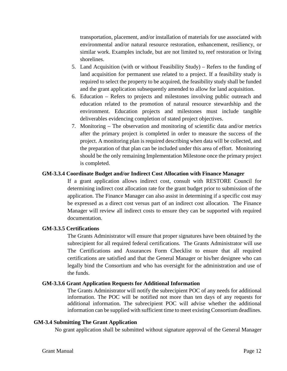transportation, placement, and/or installation of materials for use associated with environmental and/or natural resource restoration, enhancement, resiliency, or similar work. Examples include, but are not limited to, reef restoration or living shorelines.

- 5. Land Acquisition (with or without Feasibility Study) Refers to the funding of land acquisition for permanent use related to a project. If a feasibility study is required to select the property to be acquired, the feasibility study shall be funded and the grant application subsequently amended to allow for land acquisition.
- 6. Education Refers to projects and milestones involving public outreach and education related to the promotion of natural resource stewardship and the environment. Education projects and milestones must include tangible deliverables evidencing completion of stated project objectives.
- 7. Monitoring The observation and monitoring of scientific data and/or metrics after the primary project is completed in order to measure the success of the project. A monitoring plan is required describing when data will be collected, and the preparation of that plan can be included under this area of effort. Monitoring should be the only remaining Implementation Milestone once the primary project is completed.

#### <span id="page-11-0"></span>**GM-3.3.4 Coordinate Budget and/or Indirect Cost Allocation with Finance Manager**

If a grant application allows indirect cost, consult with RESTORE Council for determining indirect cost allocation rate for the grant budget prior to submission of the application. The Finance Manager can also assist in determining if a specific cost may be expressed as a direct cost versus part of an indirect cost allocation. The Finance Manager will review all indirect costs to ensure they can be supported with required documentation.

#### <span id="page-11-1"></span>**GM-3.3.5 Certifications**

The Grants Administrator will ensure that proper signatures have been obtained by the subrecipient for all required federal certifications. The Grants Administrator will use The Certifications and Assurances Form Checklist to ensure that all required certifications are satisfied and that the General Manager or his/her designee who can legally bind the Consortium and who has oversight for the administration and use of the funds.

#### <span id="page-11-2"></span>**GM-3.3.6 Grant Application Requests for Additional Information**

The Grants Administrator will notify the subrecipient POC of any needs for additional information. The POC will be notified not more than ten days of any requests for additional information. The subrecipient POC will advise whether the additional information can be supplied with sufficient time to meet existing Consortium deadlines.

#### <span id="page-11-3"></span>**GM-3.4 Submitting The Grant Application**

No grant application shall be submitted without signature approval of the General Manager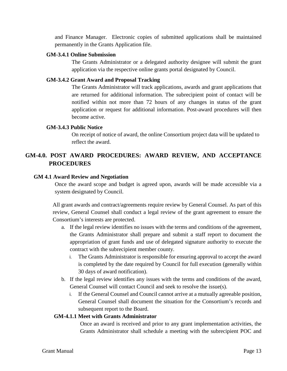and Finance Manager. Electronic copies of submitted applications shall be maintained permanently in the Grants Application file.

#### <span id="page-12-0"></span>**GM-3.4.1 Online Submission**

The Grants Administrator or a delegated authority designee will submit the grant application via the respective online grants portal designated by Council.

## <span id="page-12-1"></span>**GM-3.4.2 Grant Award and Proposal Tracking**

The Grants Administrator will track applications, awards and grant applications that are returned for additional information. The subrecipient point of contact will be notified within not more than 72 hours of any changes in status of the grant application or request for additional information. Post-award procedures will then become active.

## <span id="page-12-2"></span>**GM-3.4.3 Public Notice**

On receipt of notice of award, the online Consortium project data will be updated to reflect the award.

## <span id="page-12-3"></span>**GM-4.0. POST AWARD PROCEDURES: AWARD REVIEW, AND ACCEPTANCE PROCEDURES**

## <span id="page-12-4"></span>**GM 4.1 Award Review and Negotiation**

Once the award scope and budget is agreed upon, awards will be made accessible via a system designated by Council.

All grant awards and contract/agreements require review by General Counsel. As part of this review, General Counsel shall conduct a legal review of the grant agreement to ensure the Consortium's interests are protected.

- a. If the legal review identifies no issues with the terms and conditions of the agreement, the Grants Administrator shall prepare and submit a staff report to document the appropriation of grant funds and use of delegated signature authority to execute the contract with the subrecipient member county.
	- i. The Grants Administrator is responsible for ensuring approval to accept the award is completed by the date required by Council for full execution (generally within 30 days of award notification).
- b. If the legal review identifies any issues with the terms and conditions of the award, General Counsel will contact Council and seek to resolve the issue(s).
	- i. If the General Counsel and Council cannot arrive at a mutually agreeable position, General Counsel shall document the situation for the Consortium's records and subsequent report to the Board.

## <span id="page-12-5"></span>**GM-4.1.1 Meet with Grants Administrator**

Once an award is received and prior to any grant implementation activities, the Grants Administrator shall schedule a meeting with the subrecipient POC and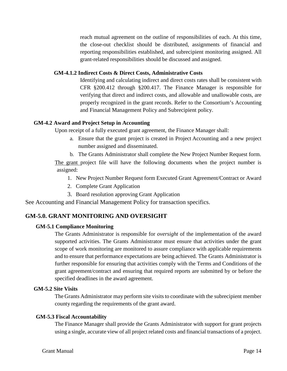reach mutual agreement on the outline of responsibilities of each. At this time, the close-out checklist should be distributed, assignments of financial and reporting responsibilities established, and subrecipient monitoring assigned. All grant-related responsibilities should be discussed and assigned.

#### <span id="page-13-0"></span>**GM-4.1.2 Indirect Costs & Direct Costs, Administrative Costs**

Identifying and calculating indirect and direct costs rates shall be consistent with CFR §200.412 through §200.417. The Finance Manager is responsible for verifying that direct and indirect costs, and allowable and unallowable costs, are properly recognized in the grant records. Refer to the Consortium's Accounting and Financial Management Policy and Subrecipient policy.

## <span id="page-13-1"></span>**GM-4.2 Award and Project Setup in Accounting**

Upon receipt of a fully executed grant agreement, the Finance Manager shall:

- a. Ensure that the grant project is created in Project Accounting and a new project number assigned and disseminated.
- b. The Grants Administrator shall complete the New Project Number Request form.

The grant project file will have the following documents when the project number is assigned:

- 1. New Project Number Request form Executed Grant Agreement/Contract or Award
- 2. Complete Grant Application
- 3. Board resolution approving Grant Application

See Accounting and Financial Management Policy for transaction specifics.

## <span id="page-13-2"></span>**GM-5.0. GRANT MONITORING AND OVERSIGHT**

## <span id="page-13-3"></span>**GM-5.1 Compliance Monitoring**

The Grants Administrator is responsible for *oversight* of the implementation of the award supported activities. The Grants Administrator must ensure that activities under the grant scope of work monitoring are monitored to assure compliance with applicable requirements and to ensure that performance expectations are being achieved. The Grants Administrator is further responsible for ensuring that activities comply with the Terms and Conditions of the grant agreement/contract and ensuring that required reports are submitted by or before the specified deadlines in the award agreement.

## <span id="page-13-4"></span>**GM-5.2 Site Visits**

The Grants Administrator may perform site visits to coordinate with the subrecipient member county regarding the requirements of the grant award.

#### <span id="page-13-5"></span>**GM-5.3 Fiscal Accountability**

The Finance Manager shall provide the Grants Administrator with support for grant projects using a single, accurate view of all project related costs and financial transactions of a project.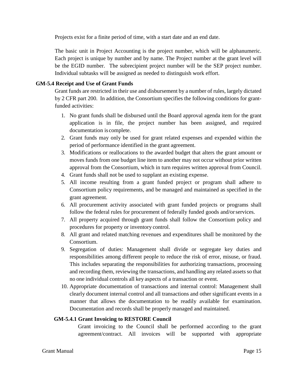Projects exist for a finite period of time, with a start date and an end date.

The basic unit in Project Accounting is the project number, which will be alphanumeric. Each project is unique by number and by name. The Project number at the grant level will be the EGID number. The subrecipient project number will be the SEP project number. Individual subtasks will be assigned as needed to distinguish work effort.

## <span id="page-14-0"></span>**GM-5.4 Receipt and Use of Grant Funds**

Grant funds are restricted in their use and disbursement by a number of rules, largely dictated by 2 CFR part 200. In addition, the Consortium specifies the following conditions for grantfunded activities:

- 1. No grant funds shall be disbursed until the Board approval agenda item for the grant application is in file, the project number has been assigned, and required documentation is complete.
- 2. Grant funds may only be used for grant related expenses and expended within the period of performance identified in the grant agreement.
- 3. Modifications or reallocations to the awarded budget that alters the grant amount or moves funds from one budget line item to another may not occur without prior written approval from the Consortium, which in turn requires written approval from Council.
- 4. Grant funds shall not be used to supplant an existing expense.
- 5. All income resulting from a grant funded project or program shall adhere to Consortium policy requirements, and be managed and maintained as specified in the grant agreement.
- 6. All procurement activity associated with grant funded projects or programs shall follow the federal rules for procurement of federally funded goods and/orservices.
- 7. All property acquired through grant funds shall follow the Consortium policy and procedures for property or inventory control.
- 8. All grant and related matching revenues and expenditures shall be monitored by the Consortium.
- 9. Segregation of duties: Management shall divide or segregate key duties and responsibilities among different people to reduce the risk of error, misuse, or fraud. This includes separating the responsibilities for authorizing transactions, processing and recording them, reviewing the transactions, and handling any related assets so that no one individual controls all key aspects of a transaction or event.
- 10. Appropriate documentation of transactions and internal control: Management shall clearly document internal control and all transactions and other significant events in a manner that allows the documentation to be readily available for examination. Documentation and records shall be properly managed and maintained.

## <span id="page-14-1"></span>**GM-5.4.1 Grant Invoicing to RESTORE Council**

Grant invoicing to the Council shall be performed according to the grant agreement/contract. All invoices will be supported with appropriate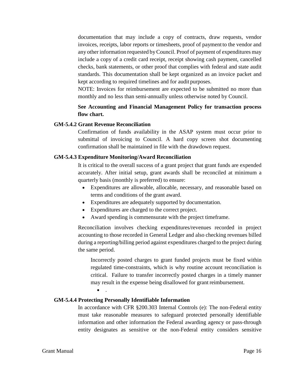documentation that may include a copy of contracts, draw requests, vendor invoices, receipts, labor reports or timesheets, proof of payment to the vendor and any other information requested byCouncil. Proof of payment of expenditures may include a copy of a credit card receipt, receipt showing cash payment, cancelled checks, bank statements, or other proof that complies with federal and state audit standards. This documentation shall be kept organized as an invoice packet and kept according to required timelines and for audit purposes.

NOTE: Invoices for reimbursement are expected to be submitted no more than monthly and no less than semi-annually unless otherwise noted by Council.

## **See Accounting and Financial Management Policy for transaction process flow chart.**

#### <span id="page-15-0"></span>**GM-5.4.2 Grant Revenue Reconciliation**

Confirmation of funds availability in the ASAP system must occur prior to submittal of invoicing to Council. A hard copy screen shot documenting confirmation shall be maintained in file with the drawdown request.

## <span id="page-15-1"></span>**GM-5.4.3 Expenditure Monitoring/Award Reconciliation**

It is critical to the overall success of a grant project that grant funds are expended accurately. After initial setup, grant awards shall be reconciled at minimum a quarterly basis (monthly is preferred) to ensure:

- Expenditures are allowable, allocable, necessary, and reasonable based on terms and conditions of the grant award.
- Expenditures are adequately supported by documentation.
- Expenditures are charged to the correct project.
- Award spending is commensurate with the project timeframe.

Reconciliation involves checking expenditures/revenues recorded in project accounting to those recorded in General Ledger and also checking revenues billed during a reporting/billing period against expenditures charged to the project during the same period.

Incorrectly posted charges to grant funded projects must be fixed within regulated time-constraints, which is why routine account reconciliation is critical. Failure to transfer incorrectly posted charges in a timely manner may result in the expense being disallowed for grant reimbursement.

 $\bullet$ 

## <span id="page-15-2"></span>**GM-5.4.4 Protecting Personally Identifiable Information**

In accordance with CFR §200.303 Internal Controls (e): The non-Federal entity must take reasonable measures to safeguard protected personally identifiable information and other information the Federal awarding agency or pass-through entity designates as sensitive or the non-Federal entity considers sensitive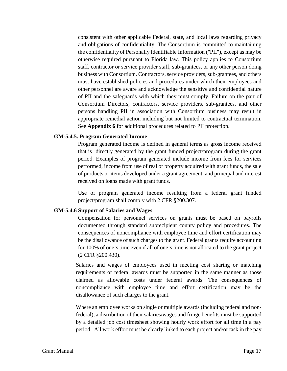consistent with other applicable Federal, state, and local laws regarding privacy and obligations of confidentiality. The Consortium is committed to maintaining the confidentiality of Personally Identifiable Information ("PII"), except as may be otherwise required pursuant to Florida law. This policy applies to Consortium staff, contractor or service provider staff, sub-grantees, or any other person doing business with Consortium. Contractors, service providers, sub-grantees, and others must have established policies and procedures under which their employees and other personnel are aware and acknowledge the sensitive and confidential nature of PII and the safeguards with which they must comply. Failure on the part of Consortium Directors, contractors, service providers, sub-grantees, and other persons handling PII in association with Consortium business may result in appropriate remedial action including but not limited to contractual termination. See **Appendix 6** for additional procedures related to PII protection.

#### <span id="page-16-0"></span>**GM-5.4.5. Program Generated Income**

Program generated income is defined in general terms as gross income received that is directly generated by the grant funded project/program during the grant period. Examples of program generated include income from fees for services performed, income from use of real or property acquired with grant funds, the sale of products or items developed under a grant agreement, and principal and interest received on loans made with grant funds.

Use of program generated income resulting from a federal grant funded project/program shall comply with 2 CFR §200.307.

#### <span id="page-16-1"></span>**GM-5.4.6 Support of Salaries and Wages**

Compensation for personnel services on grants must be based on payrolls documented through standard subrecipient county policy and procedures. The consequences of noncompliance with employee time and effort certification may be the disallowance of such charges to the grant. Federal grants require accounting for 100% of one's time even if all of one's time is not allocated to the grant project (2 CFR §200.430).

Salaries and wages of employees used in meeting cost sharing or matching requirements of federal awards must be supported in the same manner as those claimed as allowable costs under federal awards. The consequences of noncompliance with employee time and effort certification may be the disallowance of such charges to the grant.

Where an employee works on single or multiple awards (including federal and nonfederal), a distribution of their salaries/wages and fringe benefits must be supported by a detailed job cost timesheet showing hourly work effort for all time in a pay period. All work effort must be clearly linked to each project and/or task in the pay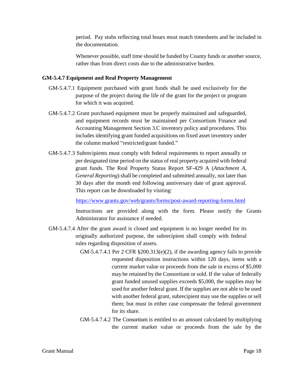period. Pay stubs reflecting total hours must match timesheets and be included in the documentation.

Whenever possible, staff time should be funded by County funds or another source, rather than from direct costs due to the administrative burden.

## <span id="page-17-0"></span>**GM-5.4.7 Equipment and Real Property Management**

- GM-5.4.7.1 Equipment purchased with grant funds shall be used exclusively for the purpose of the project during the life of the grant for the project or program for which it was acquired.
- GM-5.4.7.2 Grant purchased equipment must be properly maintained and safeguarded, and equipment records must be maintained per Consortium Finance and Accounting Management Section 3.C inventory policy and procedures. This includes identifying grant funded acquisitions on fixed asset inventory under the column marked "restricted/grant funded."
- GM-5.4.7.3 Subrecipients must comply with federal requirements to report annually or per designated time period on the status of real property acquired with federal grant funds. The Real Property Status Report SF-429 A (*Attachment A, General Reporting*) shall be completed and submitted annually, not later than 30 days after the month end following anniversary date of grant approval. This report can be downloaded by visiting:

<https://www.grants.gov/web/grants/forms/post-award-reporting-forms.html>

Instructions are provided along with the form. Please notify the Grants Administrator for assistance if needed.

- GM-5.4.7.4 After the grant award is closed and equipment is no longer needed for its originally authorized purpose, the subrecipient shall comply with federal rules regarding disposition of assets.
	- GM-5.4.7.4.1 Per 2 CFR §200.313(e)(2), if the awarding agency fails to provide requested disposition instructions within 120 days, items with a current market value or proceeds from the sale in excess of \$5,000 may be retained by the Consortium or sold. If the value of federally grant funded unused supplies exceeds \$5,000, the supplies may be used for another federal grant. If the supplies are not able to be used with another federal grant, subrecipient may use the supplies or sell them; but must in either case compensate the federal government for its share.
	- GM-5.4.7.4.2 The Consortium is entitled to an amount calculated by multiplying the current market value or proceeds from the sale by the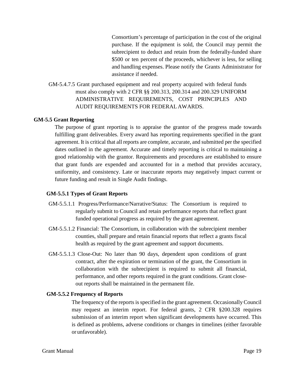Consortium's percentage of participation in the cost of the original purchase. If the equipment is sold, the Council may permit the subrecipient to deduct and retain from the federally-funded share \$500 or ten percent of the proceeds, whichever is less, for selling and handling expenses. Please notify the Grants Administrator for assistance if needed.

GM-5.4.7.5 Grant purchased equipment and real property acquired with federal funds must also comply with 2 CFR §§ 200.313, 200.314 and 200.329 UNIFORM ADMINISTRATIVE REQUIREMENTS, COST PRINCIPLES AND AUDIT REQUIREMENTS FOR FEDERAL AWARDS.

#### <span id="page-18-0"></span>**GM-5.5 Grant Reporting**

The purpose of grant reporting is to appraise the grantor of the progress made towards fulfilling grant deliverables. Every award has reporting requirements specified in the grant agreement. It is critical that all reports are complete, accurate, and submitted per the specified dates outlined in the agreement. Accurate and timely reporting is critical to maintaining a good relationship with the grantor. Requirements and procedures are established to ensure that grant funds are expended and accounted for in a method that provides accuracy, uniformity, and consistency. Late or inaccurate reports may negatively impact current or future funding and result in Single Audit findings.

#### <span id="page-18-1"></span>**GM-5.5.1 Types of Grant Reports**

- GM-5.5.1.1 Progress/Performance/Narrative/Status: The Consortium is required to regularly submit to Council and retain performance reports that reflect grant funded operational progress as required by the grant agreement.
- GM-5.5.1.2 Financial: The Consortium, in collaboration with the subrecipient member counties, shall prepare and retain financial reports that reflect a grants fiscal health as required by the grant agreement and support documents.
- GM-5.5.1.3 Close-Out: No later than 90 days, dependent upon conditions of grant contract, after the expiration or termination of the grant, the Consortium in collaboration with the subrecipient is required to submit all financial, performance, and other reports required in the grant conditions. Grant closeout reports shall be maintained in the permanent file.

#### <span id="page-18-2"></span>**GM-5.5.2 Frequency of Reports**

The frequency of the reports is specified in the grant agreement. Occasionally Council may request an interim report. For federal grants, 2 CFR §200.328 requires submission of an interim report when significant developments have occurred. This is defined as problems, adverse conditions or changes in timelines (either favorable or unfavorable).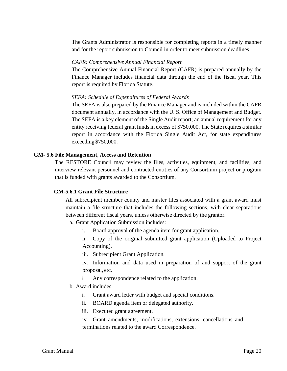The Grants Administrator is responsible for completing reports in a timely manner and for the report submission to Council in order to meet submission deadlines.

#### *[CAFR: Comprehensive Annual Financial Report](https://www.pinellasclerk.org/aspInclude2/ASPInclude.asp?pageName=cafr.htm)*

The Comprehensive Annual Financial Report (CAFR) is prepared annually by the Finance Manager includes financial data through the end of the fiscal year. This report is required by Florida Statute.

#### *[SEFA: Schedule of Expenditures of Federal Awards](https://www.pinellasclerk.org/aspInclude2/ASPInclude.asp?pageName=cafr.htm)*

The SEFA is also prepared by the Finance Manager and is included within the CAFR document annually, in accordance with the U. S. Office of Management and Budget. The SEFA is a key element of the Single Audit report; an annual requirement for any entity receiving federal grant funds in excess of \$750,000. The State requires a similar report in accordance with the Florida Single Audit Act, for state expenditures exceeding \$750,000.

#### <span id="page-19-0"></span>**GM- 5.6 File Management, Access and Retention**

The RESTORE Council may review the files, activities, equipment, and facilities, and interview relevant personnel and contracted entities of any Consortium project or program that is funded with grants awarded to the Consortium.

#### <span id="page-19-1"></span>**GM-5.6.1 Grant File Structure**

All subrecipient member county and master files associated with a grant award must maintain a file structure that includes the following sections, with clear separations between different fiscal years, unless otherwise directed by the grantor.

a. Grant Application Submission includes:

i. Board approval of the agenda item for grant application.

ii. Copy of the original submitted grant application (Uploaded to Project Accounting).

iii. Subrecipient Grant Application.

iv. Information and data used in preparation of and support of the grant proposal, etc.

i. Any correspondence related to the application.

#### b. Award includes:

- i. Grant award letter with budget and special conditions.
- ii. BOARD agenda item or delegated authority.
- iii. Executed grant agreement.

iv. Grant amendments, modifications, extensions, cancellations and terminations related to the award Correspondence.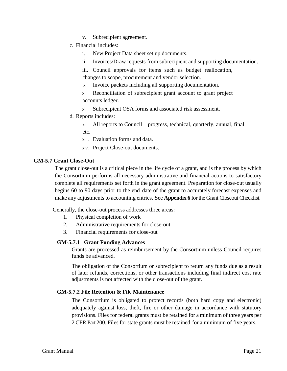- v. Subrecipient agreement.
- c. Financial includes:
	- i. New Project Data sheet set up documents.
	- ii. Invoices/Draw requests from subrecipient and supporting documentation.

iii. Council approvals for items such as budget reallocation, changes to scope, procurement and vendor selection.

- ix. Invoice packets including all supporting documentation.
- x. Reconciliation of subrecipient grant account to grant project accounts ledger.
- xi. Subrecipient OSA forms and associated risk assessment.
- d. Reports includes:

xii. All reports to Council – progress, technical, quarterly, annual, final, etc.

- xiii. Evaluation forms and data.
- xiv. Project Close-out documents.

#### <span id="page-20-0"></span>**GM-5.7 Grant Close-Out**

The grant close-out is a critical piece in the life cycle of a grant, and is the process by which the Consortium performs all necessary administrative and financial actions to satisfactory complete all requirements set forth in the grant agreement. Preparation for close-out usually begins 60 to 90 days prior to the end date of the grant to accurately forecast expenses and make any adjustments to accounting entries. See **Appendix 6** for the Grant Closeout Checklist.

Generally, the close-out process addresses three areas:

- 1. Physical completion of work
- 2. Administrative requirements for close-out
- 3. Financial requirements for close-out

## <span id="page-20-1"></span>**GM-5.7.1 Grant Funding Advances**

Grants are processed as reimbursement by the Consortium unless Council requires funds be advanced.

The obligation of the Consortium or subrecipient to return any funds due as a result of later refunds, corrections, or other transactions including final indirect cost rate adjustments is not affected with the close-out of the grant.

## <span id="page-20-2"></span>**GM-5.7.2 File Retention & File Maintenance**

The Consortium is obligated to protect records (both hard copy and electronic) adequately against loss, theft, fire or other damage in accordance with statutory provisions. Files for federal grants must be retained for a minimum of three years per 2 CFR Part 200. Files for state grants must be retained for a minimum of five years.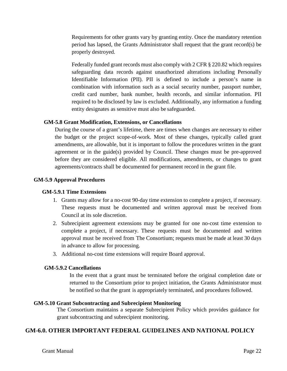Requirements for other grants vary by granting entity. Once the mandatory retention period has lapsed, the Grants Administrator shall request that the grant record(s) be properly destroyed.

Federally funded grant records must also comply with 2 CFR § 220.82 which requires safeguarding data records against unauthorized alterations including Personally Identifiable Information (PII). PII is defined to include a person's name in combination with information such as a social security number, passport number, credit card number, bank number, health records, and similar information. PII required to be disclosed by law is excluded. Additionally, any information a funding entity designates as sensitive must also be safeguarded.

#### <span id="page-21-0"></span>**GM-5.8 Grant Modification, Extensions, or Cancellations**

During the course of a grant's lifetime, there are times when changes are necessary to either the budget or the project scope-of-work. Most of these changes, typically called grant amendments, are allowable, but it is important to follow the procedures written in the grant agreement or in the guide(s) provided by Council. These changes must be pre-approved before they are considered eligible. All modifications, amendments, or changes to grant agreements/contracts shall be documented for permanent record in the grant file.

#### <span id="page-21-2"></span><span id="page-21-1"></span>**GM-5.9 Approval Procedures**

#### **GM-5.9.1 Time Extensions**

- 1. Grants may allow for a no-cost 90-day time extension to complete a project, if necessary. These requests must be documented and written approval must be received from Council at its sole discretion.
- 2. Subrecipient agreement extensions may be granted for one no-cost time extension to complete a project, if necessary. These requests must be documented and written approval must be received from The Consortium; requests must be made at least 30 days in advance to allow for processing.
- 3. Additional no-cost time extensions will require Board approval.

#### <span id="page-21-3"></span>**GM-5.9.2 Cancellations**

In the event that a grant must be terminated before the original completion date or returned to the Consortium prior to project initiation, the Grants Administrator must be notified so that the grant is appropriately terminated, and procedures followed.

#### <span id="page-21-4"></span>**GM-5.10 Grant Subcontracting and Subrecipient Monitoring**

The Consortium maintains a separate Subrecipient Policy which provides guidance for grant subcontracting and subrecipient monitoring.

## <span id="page-21-5"></span>**GM-6.0. OTHER IMPORTANT FEDERAL GUIDELINES AND NATIONAL POLICY**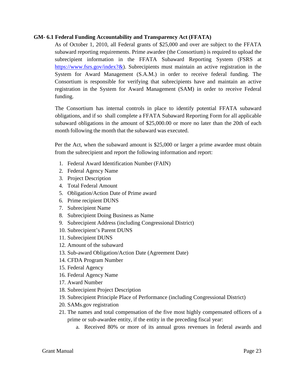#### <span id="page-22-0"></span>**GM- 6.1 Federal Funding Accountability and Transparency Act (FFATA)**

As of October 1, 2010, all Federal grants of \$25,000 and over are subject to the FFATA subaward reporting requirements. Prime awardee (the Consortium) is required to upload the subrecipient information in the FFATA Subaward Reporting System (FSRS at [https://www.fsrs.gov/index?&\)](https://www.fsrs.gov/index). Subrecipients must maintain an active registration in the System for Award Management (S.A.M.) in order to receive federal funding. The Consortium is responsible for verifying that subrecipients have and maintain an active registration in the System for Award Management (SAM) in order to receive Federal funding.

The Consortium has internal controls in place to identify potential FFATA subaward obligations, and if so shall complete a FFATA Subaward Reporting Form for all applicable subaward obligations in the amount of \$25,000.00 or more no later than the 20th of each month following the month that the subaward was executed.

Per the Act, when the subaward amount is \$25,000 or larger a prime awardee must obtain from the subrecipient and report the following information and report:

- 1. Federal Award Identification Number (FAIN)
- 2. Federal Agency Name
- 3. Project Description
- 4. Total Federal Amount
- 5. Obligation/Action Date of Prime award
- 6. Prime recipient DUNS
- 7. Subrecipient Name
- 8. Subrecipient Doing Business as Name
- 9. Subrecipient Address (including Congressional District)
- 10. Subrecipient's Parent DUNS
- 11. Subrecipient DUNS
- 12. Amount of the subaward
- 13. Sub-award Obligation/Action Date (Agreement Date)
- 14. CFDA Program Number
- 15. Federal Agency
- 16. Federal Agency Name
- 17. Award Number
- 18. Subrecipient Project Description
- 19. Subrecipient Principle Place of Performance (including Congressional District)
- 20. SAMs.gov registration
- 21. The names and total compensation of the five most highly compensated officers of a prime or sub-awardee entity, if the entity in the preceding fiscal year:
	- a. Received 80% or more of its annual gross revenues in federal awards and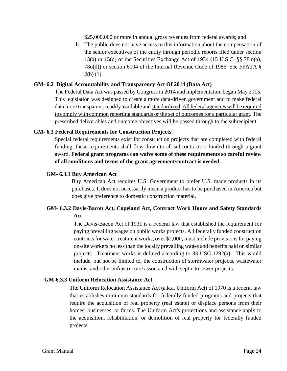\$25,000,000 or more in annual gross revenues from federal awards; and

b. The public does not have access to this information about the compensation of the senior executives of the entity through periodic reports filed under section 13(a) or 15(d) of the Securities Exchange Act of 1934 (15 U.S.C. §§ 78m(a), 78o(d)) or section 6104 of the Internal Revenue Code of 1986. See FFATA §  $2(b)$  (1).

#### <span id="page-23-0"></span>**GM- 6.2 Digital Accountability and Transparency Act Of 2014 (Data Act)**

The Federal Data Act was passed by Congress in 2014 and implementation began May 2015. This legislation was designed to create a more data-driven government and to make federal data more transparent, readily available and standardized. All federal agencies will be required to comply with common reporting standards or the set of outcomes for a particular grant. The prescribed deliverables and outcome objectives will be passed through to the subrecipient.

#### <span id="page-23-1"></span>**GM- 6.3 Federal Requirements for Construction Projects**

Special federal requirements exist for construction projects that are completed with federal funding; these requirements shall flow down to all subcontractors funded through a grant award. **Federal grant programs can waive some of these requirements so careful review of all conditions and terms of the grant agreement/contract is needed.**

#### <span id="page-23-2"></span>**GM- 6.3.1 Buy American Act**

Buy American Act requires U.S. Government to prefer U.S. made products in its purchases. It does not necessarily mean a product has to be purchased in America but does give preference to domestic construction material.

## <span id="page-23-3"></span>**GM- 6.3.2 Davis-Bacon Act, Copeland Act, Contract Work Hours and Safety Standards Act**

The Davis-Bacon Act of 1931 is a Federal law that established the requirement for paying prevailing wages on public works projects. All federally funded construction contracts for water treatment works, over \$2,000, must include provisions for paying on-site workers no less than the locally prevailing wages and benefits paid on similar projects. Treatment works is defined according to 33 USC 1292(a). This would include, but not be limited to, the construction of stormwater projects, wastewater mains, and other infrastructure associated with septic to sewer projects.

#### <span id="page-23-4"></span>**GM-6.3.3 Uniform Relocation Assistance Act**

The Uniform Relocation Assistance Act (a.k.a. Uniform Act) of 1970 is a federal law that establishes minimum standards for federally funded programs and projects that require the acquisition of real property (real estate) or displace persons from their homes, businesses, or farms. The Uniform Act's protections and assistance apply to the acquisition, rehabilitation, or demolition of real property for federally funded projects.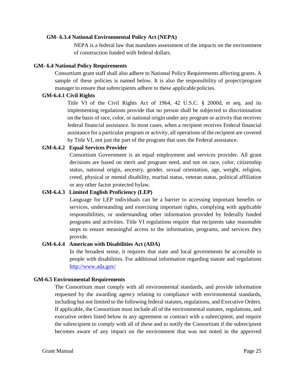#### <span id="page-24-0"></span>**GM- 6.3.4 National Environmental Policy Act (NEPA)**

NEPA is a federal law that mandates assessment of the impacts on the environment of construction funded with federal dollars.

#### <span id="page-24-1"></span>**GM- 6.4 National Policy Requirements**

Consortium grant staff shall also adhere to National Policy Requirements affecting grants. A sample of these policies is named below. It is also the responsibility of project/program manager to ensure that subrecipients adhere to these applicable policies.

#### <span id="page-24-2"></span>**GM-6.4.1 Civil Rights**

Title VI of the Civil Rights Act of 1964, 42 U.S.C. § 2000d, et seq. and its implementing regulations provide that no person shall be subjected to discrimination on the basis of race, color, or national origin under any program or activity that receives federal financial assistance. In most cases, when a recipient receives Federal financial assistance for a particular program or activity, all operations of the recipient are covered by Title VI, not just the part of the program that uses the Federal assistance.

## <span id="page-24-3"></span>**GM-6.4.2 Equal Services Provider**

Consortium Government is an equal employment and services provider. All grant decisions are based on merit and program need, and not on race, color, citizenship status, national origin, ancestry, gender, sexual orientation, age, weight, religion, creed, physical or mental disability, marital status, veteran status, political affiliation or any other factor protected bylaw.

## <span id="page-24-4"></span>**GM-6.4.3 Limited English Proficiency (LEP)**

Language for LEP individuals can be a barrier to accessing important benefits or services, understanding and exercising important rights, complying with applicable responsibilities, or understanding other information provided by federally funded programs and activities. Title VI regulations require that recipients take reasonable steps to ensure meaningful access to the information, programs, and services they provide.

#### <span id="page-24-5"></span>**GM-6.4.4 American with Disabilities Act (ADA)**

In the broadest sense, it requires that state and local governments be accessible to people with disabilities. For additional information regarding statute and regulations <http://www.ada.gov/>

#### <span id="page-24-6"></span>**GM-6.5 Environmental Requirements**

The Consortium must comply with all environmental standards, and provide information requested by the awarding agency relating to compliance with environmental standards, including but not limited to the following federal statutes, regulations, and Executive Orders. If applicable, the Consortium must include all of the environmental statutes, regulations, and executive orders listed below in any agreement or contract with a subrecipient, and require the subrecipient to comply with all of these and to notify the Consortium if the subrecipient becomes aware of any impact on the environment that was not noted in the approved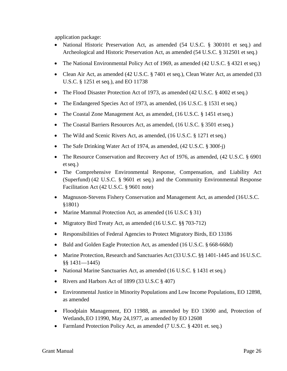application package:

- National Historic Preservation Act, as amended (54 U.S.C. § 300101 et seq.) and Archeological and Historic Preservation Act, as amended (54 U.S.C. § 312501 et seq.)
- The National Environmental Policy Act of 1969, as amended (42 U.S.C. § 4321 et seq.)
- Clean Air Act, as amended (42 U.S.C. § 7401 et seq.), Clean Water Act, as amended (33 U.S.C. § 1251 et seq.), and EO 11738
- The Flood Disaster Protection Act of 1973, as amended (42 U.S.C. § 4002 et seq.)
- The Endangered Species Act of 1973, as amended, (16 U.S.C. § 1531 et seq.)
- The Coastal Zone Management Act, as amended, (16 U.S.C. § 1451 etseq.)
- The Coastal Barriers Resources Act, as amended, (16 U.S.C. § 3501 etseq.)
- The Wild and Scenic Rivers Act, as amended, (16 U.S.C. § 1271 et seq.)
- The Safe Drinking Water Act of 1974, as amended, (42 U.S.C. § 300f-j)
- The Resource Conservation and Recovery Act of 1976, as amended, (42 U.S.C. § 6901) etseq.)
- The Comprehensive Environmental Response, Compensation, and Liability Act (Superfund) (42 U.S.C. § 9601 et seq.) and the Community Environmental Response Facilitation Act (42 U.S.C. § 9601 note)
- Magnuson-Stevens Fishery Conservation and Management Act, as amended (16U.S.C. §1801)
- Marine Mammal Protection Act, as amended (16 U.S.C § 31)
- Migratory Bird Treaty Act, as amended (16 U.S.C. §§ 703-712)
- Responsibilities of Federal Agencies to Protect Migratory Birds, EO 13186
- Bald and Golden Eagle Protection Act, as amended (16 U.S.C. § 668-668d)
- Marine Protection, Research and Sanctuaries Act (33 U.S.C. §§ 1401-1445 and 16 U.S.C. §§ 1431—1445)
- National Marine Sanctuaries Act, as amended (16 U.S.C. § 1431 et seq.)
- Rivers and Harbors Act of 1899 (33 U.S.C § 407)
- Environmental Justice in Minority Populations and Low Income Populations, EO 12898, as amended
- Floodplain Management, EO 11988, as amended by EO 13690 and, Protection of Wetlands,EO 11990, May 24,1977, as amended by EO 12608
- Farmland Protection Policy Act, as amended (7 U.S.C. § 4201 et. seq.)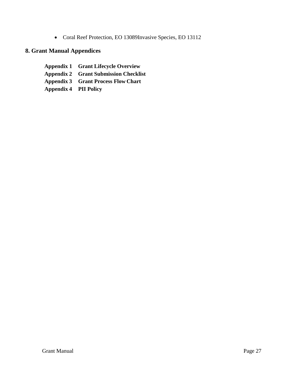• Coral Reef Protection, EO 13089Invasive Species, EO 13112

## <span id="page-26-0"></span>**8. Grant Manual Appendices**

**Appendix 1 Grant Lifecycle Overview Appendix 2 Grant Submission Checklist Appendix 3 Grant Process Flow Chart Appendix 4 PII Policy**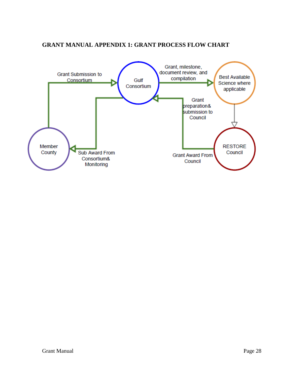## **GRANT MANUAL APPENDIX 1: GRANT PROCESS FLOW CHART**

<span id="page-27-0"></span>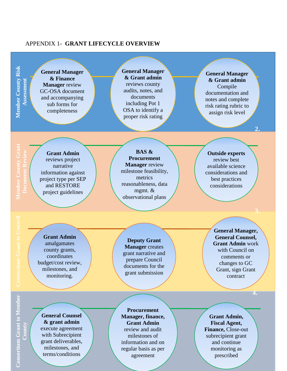#### <span id="page-28-0"></span>APPENDIX 1- **GRANT LIFECYCLE OVERVIEW**

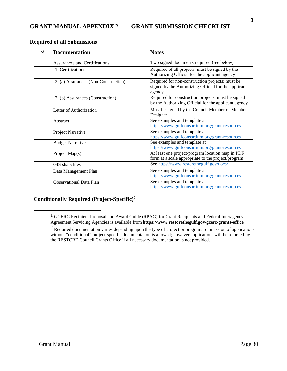#### <span id="page-29-0"></span>**Required of all Submissions**

| <b>Documentation</b>                 | <b>Notes</b>                                                                                                      |
|--------------------------------------|-------------------------------------------------------------------------------------------------------------------|
| <b>Assurances and Certifications</b> | Two signed documents required (see below)                                                                         |
| 1. Certifications                    | Required of all projects; must be signed by the<br>Authorizing Official for the applicant agency                  |
| 2. (a) Assurances (Non-Construction) | Required for non-construction projects; must be<br>signed by the Authorizing Official for the applicant<br>agency |
| 2. (b) Assurances (Construction)     | Required for construction projects; must be signed<br>by the Authorizing Official for the applicant agency        |
| Letter of Authorization              | Must be signed by the Council Member or Member<br>Designee                                                        |
| Abstract                             | See examples and template at<br>https://www.gulfconsortium.org/grant-resources                                    |
| Project Narrative                    | See examples and template at<br>https://www.gulfconsortium.org/grant-resources                                    |
| <b>Budget Narrative</b>              | See examples and template at<br>https://www.gulfconsortium.org/grant-resources                                    |
| Project Map(s)                       | At least one project/program location map in PDF<br>form at a scale appropriate to the project/program            |
| GIS shapefiles                       | See https://www.restorethegulf.gov/docs/                                                                          |
| Data Management Plan                 | See examples and template at<br>https://www.gulfconsortium.org/grant-resources                                    |
| <b>Observational Data Plan</b>       | See examples and template at<br>https://www.gulfconsortium.org/grant-resources                                    |

## <span id="page-29-1"></span>**Conditionally Required (Project-Specific[\)2](#page-29-1)**

<sup>&</sup>lt;sup>1</sup> GCERC Recipient Proposal and Award Guide (RPAG) for Grant Recipients and Federal Interagency Agreement Servicing Agencies is available from **https:/[/www.restorethegulf.gov/gcerc-grants-office](http://www.restorethegulf.gov/gcerc-grants-office)**

<sup>2</sup> Required documentation varies depending upon the type of project or program. Submission of applications without "conditional" project-specific documentation is allowed; however applications will be returned by the RESTORE Council Grants Office if all necessary documentation is not provided.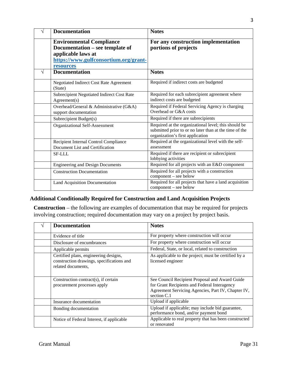|   | <b>Documentation</b>                                                                                                                           | <b>Notes</b>                                                                                                                                       |
|---|------------------------------------------------------------------------------------------------------------------------------------------------|----------------------------------------------------------------------------------------------------------------------------------------------------|
|   | <b>Environmental Compliance</b><br>Documentation – see template of<br>applicable laws at<br>https://www.gulfconsortium.org/grant-<br>resources | For any construction implementation<br>portions of projects                                                                                        |
| V | <b>Documentation</b>                                                                                                                           | <b>Notes</b>                                                                                                                                       |
|   | Negotiated Indirect Cost Rate Agreement<br>(State)                                                                                             | Required if indirect costs are budgeted                                                                                                            |
|   | <b>Subrecipient Negotiated Indirect Cost Rate</b><br>Agreement(s)                                                                              | Required for each subrecipient agreement where<br>indirect costs are budgeted                                                                      |
|   | Overhead/General & Administrative (G&A)<br>support documentation                                                                               | Required if Federal Servicing Agency is charging<br>Overhead or G&A costs                                                                          |
|   | Subrecipient Budget(s)                                                                                                                         | Required if there are subrecipients                                                                                                                |
|   | Organizational Self-Assessment                                                                                                                 | Required at the organizational level; this should be<br>submitted prior to or no later than at the time of the<br>organization's first application |
|   | Recipient Internal Control Compliance<br>Document List and Certification                                                                       | Required at the organizational level with the self-<br>assessment                                                                                  |
|   | <b>SF-LLL</b>                                                                                                                                  | Required if there are recipient or subrecipient<br>lobbying activities                                                                             |
|   | <b>Engineering and Design Documents</b>                                                                                                        | Required for all projects with an E&D component                                                                                                    |
|   | <b>Construction Documentation</b>                                                                                                              | Required for all projects with a construction<br>component - see below                                                                             |
|   | Land Acquisition Documentation                                                                                                                 | Required for all projects that have a land acquisition<br>component - see below                                                                    |

## **Additional Conditionally Required for Construction and Land Acquisition Projects**

**Construction** – the following are examples of documentation that may be required for projects involving construction; required documentation may vary on a project by project basis.

| <b>Documentation</b>                                                                                     | <b>Notes</b>                                                                                                                                                          |
|----------------------------------------------------------------------------------------------------------|-----------------------------------------------------------------------------------------------------------------------------------------------------------------------|
| Evidence of title                                                                                        | For property where construction will occur                                                                                                                            |
| Disclosure of encumbrances                                                                               | For property where construction will occur                                                                                                                            |
| Applicable permits                                                                                       | Federal, State, or local, related to construction                                                                                                                     |
| Certified plans, engineering designs,<br>construction drawings, specifications and<br>related documents, | As applicable to the project; must be certified by a<br>licensed engineer                                                                                             |
| Construction contract(s), if certain<br>procurement processes apply                                      | See Council Recipient Proposal and Award Guide<br>for Grant Recipients and Federal Interagency<br>Agreement Servicing Agencies, Part IV, Chapter IV,<br>section $C.1$ |
| Insurance documentation                                                                                  | Upload if applicable                                                                                                                                                  |
| Bonding documentation                                                                                    | Upload if applicable; may include bid guarantee,<br>performance bond, and/or payment bond                                                                             |
| Notice of Federal Interest, if applicable                                                                | Applicable to real property that has been constructed<br>or renovated                                                                                                 |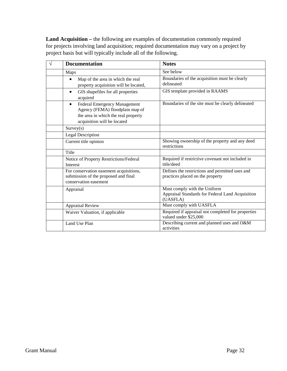**Land Acquisition –** the following are examples of documentation commonly required for projects involving land acquisition; required documentation may vary on a project by project basis but will typically include all of the following.

| <b>Documentation</b>                                                                                                                                      | <b>Notes</b>                                                                                 |
|-----------------------------------------------------------------------------------------------------------------------------------------------------------|----------------------------------------------------------------------------------------------|
| Maps                                                                                                                                                      | See below                                                                                    |
| Map of the area in which the real<br>$\bullet$<br>property acquisition will be located,                                                                   | Boundaries of the acquisition must be clearly<br>delineated                                  |
| GIS shapefiles for all properties<br>$\bullet$<br>acquired                                                                                                | GIS template provided in RAAMS                                                               |
| <b>Federal Emergency Management</b><br>$\bullet$<br>Agency (FEMA) floodplain map of<br>the area in which the real property<br>acquisition will be located | Boundaries of the site must be clearly delineated                                            |
| Survey(s)                                                                                                                                                 |                                                                                              |
| <b>Legal Description</b>                                                                                                                                  |                                                                                              |
| Current title opinion                                                                                                                                     | Showing ownership of the property and any deed<br>restrictions                               |
| Title                                                                                                                                                     |                                                                                              |
| Notice of Property Restrictions/Federal<br>Interest                                                                                                       | Required if restrictive covenant not included in<br>title/deed                               |
| For conservation easement acquisitions,<br>submission of the proposed and final<br>conservation easement                                                  | Defines the restrictions and permitted uses and<br>practices placed on the property          |
| Appraisal                                                                                                                                                 | Must comply with the Uniform<br>Appraisal Standards for Federal Land Acquisition<br>(UASFLA) |
| Appraisal Review                                                                                                                                          | Must comply with UASFLA                                                                      |
| Waiver Valuation, if applicable                                                                                                                           | Required if appraisal not completed for properties<br>valued under \$25,000                  |
| Land Use Plan                                                                                                                                             | Describing current and planned uses and O&M<br>activities                                    |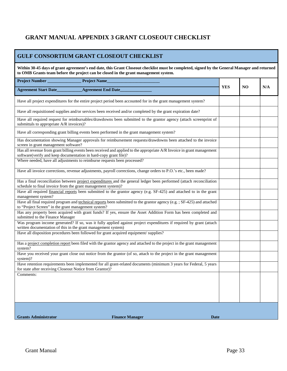## <span id="page-32-0"></span>**GRANT MANUAL APPENDIX 3 GRANT CLOSEOUT CHECKLIST**

## **GULF CONSORTIUM GRANT CLOSEOUT CHECKLIST**

| Within 30-45 days of grant agreement's end date, this Grant Closeout checklist must be completed, signed by the General Manager and returned<br>to OMB Grants team before the project can be closed in the grant management system. |                                                                                                                        |            |    |     |
|-------------------------------------------------------------------------------------------------------------------------------------------------------------------------------------------------------------------------------------|------------------------------------------------------------------------------------------------------------------------|------------|----|-----|
| Project Number_                                                                                                                                                                                                                     | <b>Project Name</b>                                                                                                    |            |    |     |
| <b>Agreement Start Date______</b>                                                                                                                                                                                                   | <b>Agreement End Date</b>                                                                                              | <b>YES</b> | NO | N/A |
|                                                                                                                                                                                                                                     | Have all project expenditures for the entire project period been accounted for in the grant management system?         |            |    |     |
|                                                                                                                                                                                                                                     | Have all requisitioned supplies and/or services been received and/or completed by the grant expiration date?           |            |    |     |
| submittals to appropriate A/R invoices)?                                                                                                                                                                                            | Have all required request for reimbursables/drawdowns been submitted to the grantor agency (attach screenprint of      |            |    |     |
|                                                                                                                                                                                                                                     | Have all corresponding grant billing events been performed in the grant management system?                             |            |    |     |
| screen in grant management software?                                                                                                                                                                                                | Has documentation showing Manager approvals for reimbursement requests/drawdowns been attached to the invoice          |            |    |     |
| software(verify and keep documentation in hard-copy grant file)?                                                                                                                                                                    | Has all revenue from grant billing events been received and applied to the appropriate A/R Invoice in grant management |            |    |     |
| Where needed, have all adjustments to reimburse requests been processed?                                                                                                                                                            |                                                                                                                        |            |    |     |
|                                                                                                                                                                                                                                     | Have all invoice corrections, revenue adjustments, payroll corrections, change orders to P.O.'s etc., been made?       |            |    |     |
| schedule to final invoice from the grant management system)?                                                                                                                                                                        | Has a final reconciliation between project expenditures and the general ledger been performed (attach reconciliation   |            |    |     |
| management system?                                                                                                                                                                                                                  | Have all required financial reports been submitted to the grantor agency (e.g. SF-425) and attached to in the grant    |            |    |     |
| to "Project Screen" in the grant management system?                                                                                                                                                                                 | Have all final required program and technical reports been submitted to the grantor agency (e.g.; SF-425) and attached |            |    |     |
| submitted to the Finance Manager                                                                                                                                                                                                    | Has any property been acquired with grant funds? If yes, ensure the Asset Addition Form has been completed and         |            |    |     |
| written documentation of this in the grant management system)                                                                                                                                                                       | Was program income generated? If so, was it fully applied against project expenditures if required by grant (attach    |            |    |     |
| Have all disposition procedures been followed for grant acquired equipment/supplies?                                                                                                                                                |                                                                                                                        |            |    |     |
| system?                                                                                                                                                                                                                             | Has a project completion report been filed with the grantor agency and attached to the project in the grant management |            |    |     |
| system)?                                                                                                                                                                                                                            | Have you received your grant close out notice from the grantor (of so, attach to the project in the grant management   |            |    |     |
| for state after receiving Closeout Notice from Grantor)?                                                                                                                                                                            | Have retention requirements been implemented for all grant-related documents (minimum 3 years for Federal, 5 years     |            |    |     |
| Comments:                                                                                                                                                                                                                           |                                                                                                                        |            |    |     |
|                                                                                                                                                                                                                                     |                                                                                                                        |            |    |     |
|                                                                                                                                                                                                                                     |                                                                                                                        |            |    |     |
|                                                                                                                                                                                                                                     |                                                                                                                        |            |    |     |
| <b>Grants Administrator</b>                                                                                                                                                                                                         | <b>Finance Manager</b><br>Date                                                                                         |            |    |     |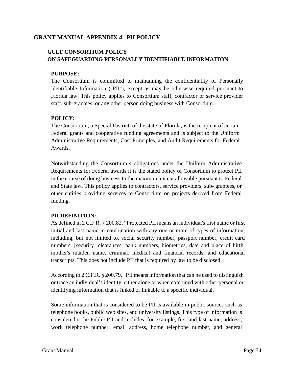## <span id="page-33-0"></span>**GRANT MANUAL APPENDIX 4 PII POLICY**

## **GULF CONSORTIUM POLICY ON SAFEGUARDING PERSONALLY IDENTIFIABLE INFORMATION**

## **PURPOSE:**

The Consortium is committed to maintaining the confidentiality of Personally Identifiable Information ("PII"), except as may be otherwise required pursuant to Florida law. This policy applies to Consortium staff, contractor or service provider staff, sub-grantees, or any other person doing business with Consortium.

## **POLICY:**

The Consortium, a Special District of the state of Florida, is the recipient of certain Federal grants and cooperative funding agreements and is subject to the Uniform Administrative Requirements, Cost Principles, and Audit Requirements for Federal Awards.

Notwithstanding the Consortium's obligations under the Uniform Administrative Requirements for Federal awards it is the stated policy of Consortium to protect PII in the course of doing business to the maximum extent allowable pursuant to Federal and State law. This policy applies to contractors, service providers, sub- grantees, or other entities providing services to Consortium on projects derived from Federal funding.

## **PII DEFINITION:**

As defined in 2 C.F.R. § 200.82, "Protected PII means an individual's first name or first initial and last name in combination with any one or more of types of information, including, but not limited to, social security number, passport number, credit card numbers, [security] clearances, bank numbers, biometrics, date and place of birth, mother's maiden name, criminal, medical and financial records, and educational transcripts. This does not include [PII t](https://www.law.cornell.edu/definitions/index.php?width=840&height=800&iframe=true&def_id=36f2ad20a9f9dcfe3e6a38444824d887&term_occur=1&term_src=Title%3A2%3ASubtitle%3AA%3AChapter%3AII%3APart%3A200%3ASubpart%3AA%3ASubjgrp%3A28%3A200.82)hat is required by law to be disclosed.

According to 2 C.F.R. § 200.79, "PII means information that can be used to distinguish or trace an individual's identity, either alone or when combined with other personal or identifying information that is linked or linkable to a specific individual.

Some information that is considered to be PII is available in public sources such as telephone books, public web sites, and university listings. This type of information is considered to be Public PII and includes, for example, first and last name, address, work telephone number, email address, home telephone number, and general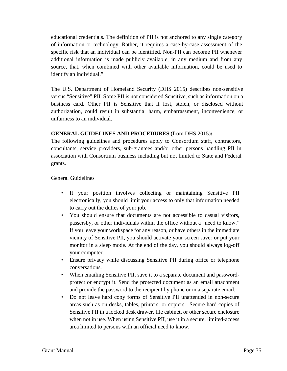educational credentials. The definition of PII is not anchored to any single category of information or technology. Rather, it requires a case-by-case assessment of the specific risk that an individual can be identified. Non-PII can become PII whenever additional information is made publicly available, in any medium and from any source, that, when combined with other available information, could be used to identify an individual."

The U.S. Department of Homeland Security (DHS 2015) describes non-sensitive versus "Sensitive" PII. Some PII is not considered Sensitive, such as information on a business card. Other PII is Sensitive that if lost, stolen, or disclosed without authorization, could result in substantial harm, embarrassment, inconvenience, or unfairness to an individual.

## **GENERAL GUIDELINES AND PROCEDURES** (from DHS 2015)**:**

The following guidelines and procedures apply to Consortium staff, contractors, consultants, service providers, sub-grantees and/or other persons handling PII in association with Consortium business including but not limited to State and Federal grants.

## General Guidelines

- If your position involves collecting or maintaining Sensitive PII electronically, you should limit your access to only that information needed to carry out the duties of your job.
- You should ensure that documents are not accessible to casual visitors, passersby, or other individuals within the office without a "need to know." If you leave your workspace for any reason, or have others in the immediate vicinity of Sensitive PII, you should activate your screen saver or put your monitor in a sleep mode. At the end of the day, you should always log-off your computer.
- Ensure privacy while discussing Sensitive PII during office or telephone conversations.
- When emailing Sensitive PII, save it to a separate document and passwordprotect or encrypt it. Send the protected document as an email attachment and provide the password to the recipient by phone or in a separate email.
- Do not leave hard copy forms of Sensitive PII unattended in non-secure areas such as on desks, tables, printers, or copiers. Secure hard copies of Sensitive PII in a locked desk drawer, file cabinet, or other secure enclosure when not in use. When using Sensitive PII, use it in a secure, limited-access area limited to persons with an official need to know.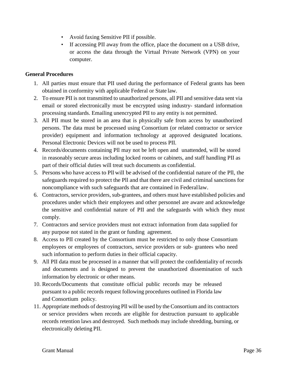- Avoid faxing Sensitive PII if possible.
- If accessing PII away from the office, place the document on a USB drive, or access the data through the Virtual Private Network (VPN) on your computer.

## **General Procedures**

- 1. All parties must ensure that PII used during the performance of Federal grants has been obtained in conformity with applicable Federal or State law.
- 2. To ensure PII is not transmitted to unauthorized persons, all PII and sensitive data sent via email or stored electronically must be encrypted using industry- standard information processing standards. Emailing unencrypted PII to any entity is not permitted.
- 3. All PII must be stored in an area that is physically safe from access by unauthorized persons. The data must be processed using Consortium (or related contractor or service provider) equipment and information technology at approved designated locations. Personal Electronic Devices will not be used to process PII.
- 4. Records/documents containing Pll may not be left open and unattended, will be stored in reasonably secure areas including locked rooms or cabinets, and staff handling PII as part of their official duties will treat such documents as confidential.
- 5. Persons who have access to Pll will be advised of the confidential nature of the Pll, the safeguards required to protect the Pll and that there are civil and criminal sanctions for noncompliance with such safeguards that are contained in Federallaw.
- 6. Contractors, service providers, sub-grantees, and others must have established policies and procedures under which their employees and other personnel are aware and acknowledge the sensitive and confidential nature of PII and the safeguards with which they must comply.
- 7. Contractors and service providers must not extract information from data supplied for any purpose not stated in the grant or funding agreement.
- 8. Access to PII created by the Consortium must be restricted to only those Consortium employees or employees of contractors, service providers or sub- grantees who need such information to perform duties in their official capacity.
- 9. All PII data must be processed in a manner that will protect the confidentiality of records and documents and is designed to prevent the unauthorized dissemination of such information by electronic or other means.
- 10. Records/Documents that constitute official public records may be released pursuant to a public records request following procedures outlined in Florida law and Consortium policy.
- 11. Appropriate methods of destroying Pll will be used by the Consortium and its contractors or service providers when records are eligible for destruction pursuant to applicable records retention laws and destroyed. Such methods may include shredding, burning, or electronically deleting PII.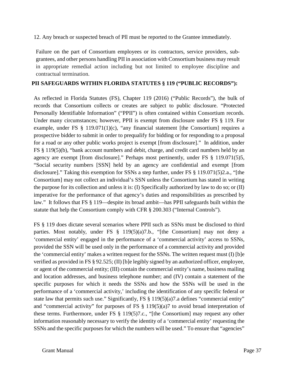12. Any breach or suspected breach of Pll must be reported to the Grantee immediately.

Failure on the part of Consortium employees or its contractors, service providers, subgrantees, and other persons handling PII in association with Consortium business may result in appropriate remedial action including but not limited to employee discipline and contractual termination.

## **PII SAFEGUARDS WITHIN FLORIDA STATUTES § 119 ("PUBLIC RECORDS"):**

As reflected in Florida Statutes (FS), Chapter 119 (2016) ("Public Records"), the bulk of records that Consortium collects or creates are subject to public disclosure. "Protected Personally Identifiable Information" ("PPII") is often contained within Consortium records. Under many circumstances; however, PPII is exempt from disclosure under FS § 119. For example, under FS § 119.071(1)(c), "any financial statement [the Consortium] requires a prospective bidder to submit in order to prequalify for bidding or for responding to a proposal for a road or any other public works project is exempt [from disclosure]." In addition, under FS § 119(5)(b), "bank account numbers and debit, charge, and credit card numbers held by an agency are exempt [from disclosure]." Perhaps most pertinently, under FS § 119.071(5)5, "Social security numbers [SSN] held by an agency are confidential and exempt [from disclosure]." Taking this exemption for SSNs a step further, under FS § 119.071(5)2.a., "[the Consortium] may not collect an individual's SSN unless the Consortium has stated in writing the purpose for its collection and unless it is: (I) Specifically authorized by law to do so; or (II) imperative for the performance of that agency's duties and responsibilities as prescribed by law." It follows that FS § 119—despite its broad ambit—has PPII safeguards built within the statute that help the Consortium comply with CFR § 200.303 ("Internal Controls").

FS § 119 does dictate several scenarios where PPII such as SSNs must be disclosed to third parties. Most notably, under FS § 119(5)(a)7.b., "[the Consortium] may not deny a 'commercial entity' engaged in the performance of a 'commercial activity' access to SSNs, provided the SSN will be used only in the performance of a commercial activity and provided the 'commercial entity' makes a written request for the SSNs. The written request must (I) [b]e verified as provided in FS § 92.525; (II) [b]e legibly signed by an authorized officer, employee, or agent of the commercial entity; (III) contain the commercial entity's name, business mailing and location addresses, and business telephone number; and (IV) contain a statement of the specific purposes for which it needs the SSNs and how the SSNs will be used in the performance of a 'commercial activity,' including the identification of any specific federal or state law that permits such use." Significantly, FS § 119(5)(a)7.a defines "commercial entity" and "commercial activity" for purposes of FS  $\S$  119(5)(a)7 to avoid broad interpretation of these terms. Furthermore, under FS § 119(5)7.c., "[the Consortium] may request any other information reasonably necessary to verify the identity of a 'commercial entity' requesting the SSNs and the specific purposes for which the numbers will be used." To ensure that "agencies"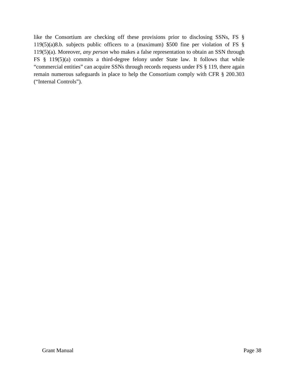like the Consortium are checking off these provisions prior to disclosing SSNs, FS § 119(5)(a)8.b. subjects public officers to a (maximum) \$500 fine per violation of FS § 119(5)(a). Moreover, *any person* who makes a false representation to obtain an SSN through FS § 119(5)(a) commits a third-degree felony under State law. It follows that while "commercial entities" can acquire SSNs through records requests under FS § 119, there again remain numerous safeguards in place to help the Consortium comply with CFR § 200.303 ("Internal Controls").